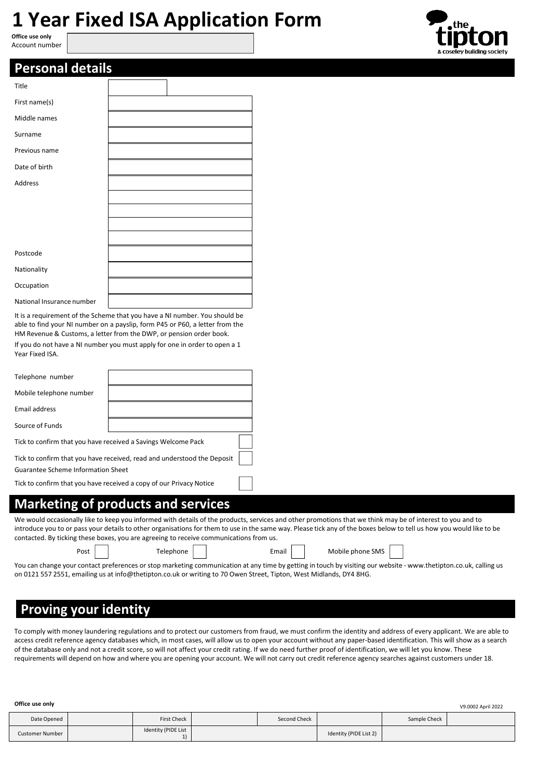# **1 Year Fixed ISA Application Form**

**Office use only** Account number



| <b>Personal details</b> |  |
|-------------------------|--|
|-------------------------|--|

| Title                                                                      |  |
|----------------------------------------------------------------------------|--|
| First name(s)                                                              |  |
| Middle names                                                               |  |
| Surname                                                                    |  |
| Previous name                                                              |  |
| Date of birth                                                              |  |
| Address                                                                    |  |
|                                                                            |  |
|                                                                            |  |
|                                                                            |  |
|                                                                            |  |
| Postcode                                                                   |  |
| Nationality                                                                |  |
| Occupation                                                                 |  |
| National Insurance number                                                  |  |
| It is a requirement of the Scheme that you have a NI number. You should be |  |

able to find your NI number on a payslip, form P45 or P60, a letter from the HM Revenue & Customs, a letter from the DWP, or pension order book.

If you do not have a NI number you must apply for one in order to open a 1 Year Fixed ISA.

| Telephone number                                                        |  |  |  |  |
|-------------------------------------------------------------------------|--|--|--|--|
| Mobile telephone number                                                 |  |  |  |  |
| Email address                                                           |  |  |  |  |
| Source of Funds                                                         |  |  |  |  |
| Tick to confirm that you have received a Savings Welcome Pack           |  |  |  |  |
| Tick to confirm that you have received, read and understood the Deposit |  |  |  |  |
| Guarantee Scheme Information Sheet                                      |  |  |  |  |
| Tick to confirm that you have received a copy of our Privacy Notice     |  |  |  |  |

## **Marketing of products and services**

We would occasionally like to keep you informed with details of the products, services and other promotions that we think may be of interest to you and to introduce you to or pass your detailsto other organisations for them to use in the same way. Please tick any of the boxes below to tell us how you would like to be contacted. By ticking these boxes, you are agreeing to receive communications from us.

|  | Mo |
|--|----|
|  |    |

Post | Telephone | Email | Mobile phone SMS

You can change your contact preferences or stop marketing communication at any time by getting in touch by visiting our website [- www.thetipton.co.uk,](http://www.thetipton.co.uk/) calling us on 0121 557 2551, emailing us a[t info@thetipton.co.uk](mailto:info@thetipton.co.uk) or writing to 70 Owen Street, Tipton, West Midlands, DY4 8HG.

## **Proving your identity**

To comply with money laundering regulations and to protect our customers from fraud, we must confirm the identity and address of every applicant. We are able to access credit reference agency databases which, in most cases, will allow us to open your account without any paper-based identification. This will show as a search of the database only and not a credit score, so will not affect your credit rating. If we do need further proof of identification, we will let you know. These requirements will depend on how and where you are opening your account. We will not carry out credit reference agency searches against customers under 18.

| Office use only |  |                     |  | V9.0002 April 2022 |                        |              |  |
|-----------------|--|---------------------|--|--------------------|------------------------|--------------|--|
| Date Opened     |  | <b>First Check</b>  |  | Second Check       |                        | Sample Check |  |
| Customer Number |  | Identity (PIDE List |  |                    | Identity (PIDE List 2) |              |  |